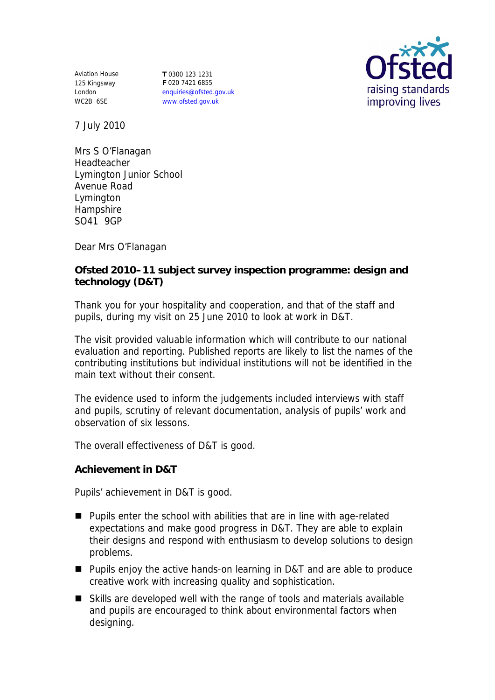Aviation House 125 Kingsway London WC2B 6SE

**T** 0300 123 1231 **F** 020 7421 6855 enquiries@ofsted.gov.uk www.ofsted.gov.uk



7 July 2010

Mrs S O'Flanagan Headteacher Lymington Junior School Avenue Road Lymington Hampshire SO41 9GP

Dear Mrs O'Flanagan

**Ofsted 2010–11 subject survey inspection programme: design and technology (D&T)**

Thank you for your hospitality and cooperation, and that of the staff and pupils, during my visit on 25 June 2010 to look at work in D&T.

The visit provided valuable information which will contribute to our national evaluation and reporting. Published reports are likely to list the names of the contributing institutions but individual institutions will not be identified in the main text without their consent.

The evidence used to inform the judgements included interviews with staff and pupils, scrutiny of relevant documentation, analysis of pupils' work and observation of six lessons.

The overall effectiveness of D&T is good.

**Achievement in D&T**

Pupils' achievement in D&T is good.

- Pupils enter the school with abilities that are in line with age-related expectations and make good progress in D&T. They are able to explain their designs and respond with enthusiasm to develop solutions to design problems.
- Pupils enjoy the active hands-on learning in D&T and are able to produce creative work with increasing quality and sophistication.
- Skills are developed well with the range of tools and materials available and pupils are encouraged to think about environmental factors when designing.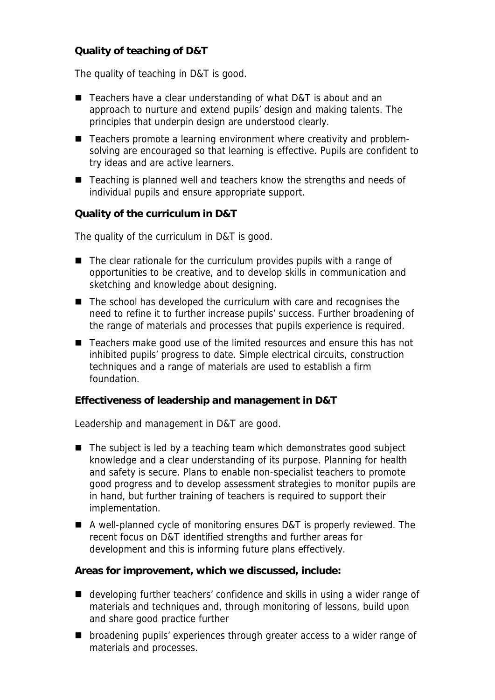**Quality of teaching of D&T**

The quality of teaching in D&T is good.

- Teachers have a clear understanding of what D&T is about and an approach to nurture and extend pupils' design and making talents. The principles that underpin design are understood clearly.
- Teachers promote a learning environment where creativity and problemsolving are encouraged so that learning is effective. Pupils are confident to try ideas and are active learners.
- Teaching is planned well and teachers know the strengths and needs of individual pupils and ensure appropriate support.

**Quality of the curriculum in D&T**

The quality of the curriculum in D&T is good.

- The clear rationale for the curriculum provides pupils with a range of opportunities to be creative, and to develop skills in communication and sketching and knowledge about designing.
- The school has developed the curriculum with care and recognises the need to refine it to further increase pupils' success. Further broadening of the range of materials and processes that pupils experience is required.
- Teachers make good use of the limited resources and ensure this has not inhibited pupils' progress to date. Simple electrical circuits, construction techniques and a range of materials are used to establish a firm foundation.

**Effectiveness of leadership and management in D&T**

Leadership and management in D&T are good.

- $\blacksquare$  The subject is led by a teaching team which demonstrates good subject knowledge and a clear understanding of its purpose. Planning for health and safety is secure. Plans to enable non-specialist teachers to promote good progress and to develop assessment strategies to monitor pupils are in hand, but further training of teachers is required to support their implementation.
- A well-planned cycle of monitoring ensures D&T is properly reviewed. The recent focus on D&T identified strengths and further areas for development and this is informing future plans effectively.

**Areas for improvement, which we discussed, include:**

- developing further teachers' confidence and skills in using a wider range of materials and techniques and, through monitoring of lessons, build upon and share good practice further
- **Demographics** broadening pupils' experiences through greater access to a wider range of materials and processes.